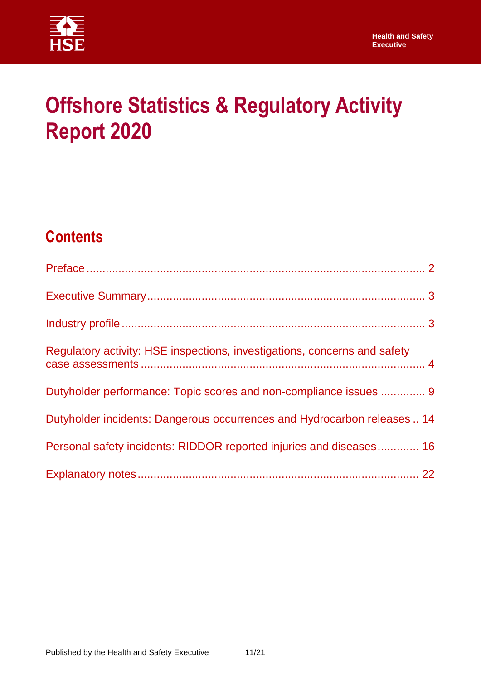

# **Offshore Statistics & Regulatory Activity Report 2020**

# **Contents**

| Regulatory activity: HSE inspections, investigations, concerns and safety |  |
|---------------------------------------------------------------------------|--|
| Dutyholder performance: Topic scores and non-compliance issues  9         |  |
| Dutyholder incidents: Dangerous occurrences and Hydrocarbon releases  14  |  |
| Personal safety incidents: RIDDOR reported injuries and diseases 16       |  |
|                                                                           |  |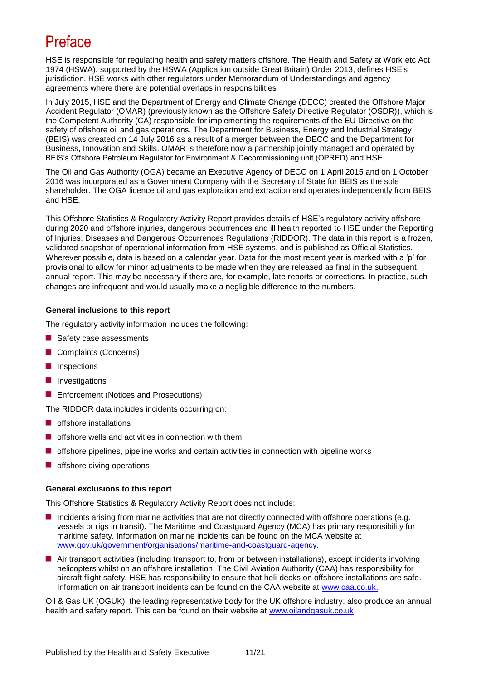## <span id="page-1-0"></span>Preface

HSE is responsible for regulating health and safety matters offshore. The Health and Safety at Work etc Act 1974 (HSWA), supported by the HSWA (Application outside Great Britain) Order 2013, defines HSE's jurisdiction. HSE works with other regulators under Memorandum of Understandings and agency agreements where there are potential overlaps in responsibilities

In July 2015, HSE and the Department of Energy and Climate Change (DECC) created the Offshore Major Accident Regulator (OMAR) (previously known as the Offshore Safety Directive Regulator (OSDR)), which is the Competent Authority (CA) responsible for implementing the requirements of the EU Directive on the safety of offshore oil and gas operations. The Department for Business, Energy and Industrial Strategy (BEIS) was created on 14 July 2016 as a result of a merger between the DECC and the Department for Business, Innovation and Skills. OMAR is therefore now a partnership jointly managed and operated by BEIS's Offshore Petroleum Regulator for Environment & Decommissioning unit (OPRED) and HSE.

The Oil and Gas Authority (OGA) became an Executive Agency of DECC on 1 April 2015 and on 1 October 2016 was incorporated as a Government Company with the Secretary of State for BEIS as the sole shareholder. The OGA licence oil and gas exploration and extraction and operates independently from BEIS and HSE.

This Offshore Statistics & Regulatory Activity Report provides details of HSE's regulatory activity offshore during 2020 and offshore injuries, dangerous occurrences and ill health reported to HSE under the Reporting of Injuries, Diseases and Dangerous Occurrences Regulations (RIDDOR). The data in this report is a frozen, validated snapshot of operational information from HSE systems, and is published as Official Statistics. Wherever possible, data is based on a calendar year. Data for the most recent year is marked with a 'p' for provisional to allow for minor adjustments to be made when they are released as final in the subsequent annual report. This may be necessary if there are, for example, late reports or corrections. In practice, such changes are infrequent and would usually make a negligible difference to the numbers.

### **General inclusions to this report**

The regulatory activity information includes the following:

- Safety case assessments
- Complaints (Concerns)
- **Inspections**
- **I**I Investigations
- **Enforcement (Notices and Prosecutions)**

The RIDDOR data includes incidents occurring on:

- **OF** offshore installations
- $\blacksquare$  offshore wells and activities in connection with them
- $\blacksquare$  offshore pipelines, pipeline works and certain activities in connection with pipeline works
- **OF** offshore diving operations

### **General exclusions to this report**

This Offshore Statistics & Regulatory Activity Report does not include:

- Incidents arising from marine activities that are not directly connected with offshore operations (e.g. vessels or rigs in transit). The Maritime and Coastguard Agency (MCA) has primary responsibility for maritime safety. Information on marine incidents can be found on the MCA website at [www.gov.uk/government/organisations/maritime-and-coastguard-agency.](http://www.gov.uk/government/organisations/maritime-and-coastguard-agency)
- Air transport activities (including transport to, from or between installations), except incidents involving helicopters whilst on an offshore installation. The Civil Aviation Authority (CAA) has responsibility for aircraft flight safety. HSE has responsibility to ensure that heli-decks on offshore installations are safe. Information on air transport incidents can be found on the CAA website at [www.caa.co.uk.](http://www.caa.co.uk/)

Oil & Gas UK (OGUK), the leading representative body for the UK offshore industry, also produce an annual health and safety report. This can be found on their website at [www.oilandgasuk.co.uk.](http://www.oilandgasuk.co.uk/)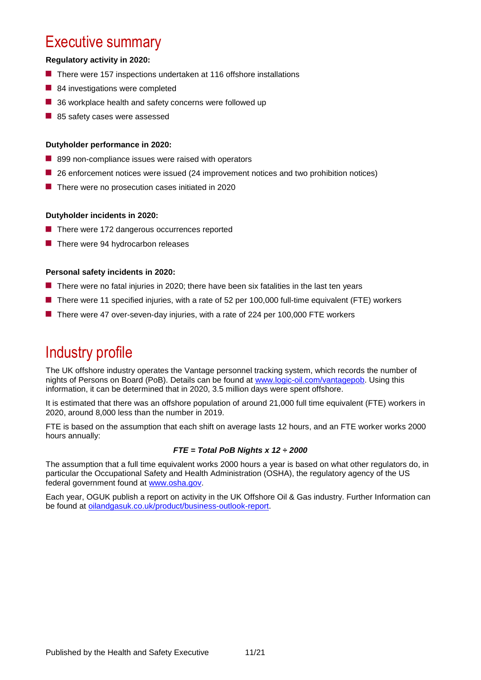### <span id="page-2-0"></span>Executive summary

### **Regulatory activity in 2020:**

- $\blacksquare$  There were 157 inspections undertaken at 116 offshore installations
- 84 investigations were completed
- 36 workplace health and safety concerns were followed up
- 85 safety cases were assessed

### **Dutyholder performance in 2020:**

- 899 non-compliance issues were raised with operators
- **26** enforcement notices were issued (24 improvement notices and two prohibition notices)
- **There were no prosecution cases initiated in 2020**

### **Dutyholder incidents in 2020:**

- There were 172 dangerous occurrences reported
- There were 94 hydrocarbon releases

### **Personal safety incidents in 2020:**

- **There were no fatal injuries in 2020; there have been six fatalities in the last ten years**
- There were 11 specified injuries, with a rate of 52 per 100,000 full-time equivalent (FTE) workers
- There were 47 over-seven-day injuries, with a rate of 224 per 100,000 FTE workers

### <span id="page-2-1"></span>Industry profile

The UK offshore industry operates the Vantage personnel tracking system, which records the number of nights of Persons on Board (PoB). Details can be found at [www.logic-oil.com/vantagepob.](http://www.logic-oil.com/vantagepob) Using this information, it can be determined that in 2020, 3.5 million days were spent offshore.

It is estimated that there was an offshore population of around 21,000 full time equivalent (FTE) workers in 2020, around 8,000 less than the number in 2019.

FTE is based on the assumption that each shift on average lasts 12 hours, and an FTE worker works 2000 hours annually:

### *FTE = Total PoB Nights x 12 ÷ 2000*

The assumption that a full time equivalent works 2000 hours a year is based on what other regulators do, in particular the Occupational Safety and Health Administration (OSHA), the regulatory agency of the US federal government found at [www.osha.gov.](http://www.osha.gov/)

Each year, OGUK publish a report on activity in the UK Offshore Oil & Gas industry. Further Information can be found at [oilandgasuk.co.uk/product/business-outlook-report.](https://oilandgasuk.co.uk/product/business-outlook-report)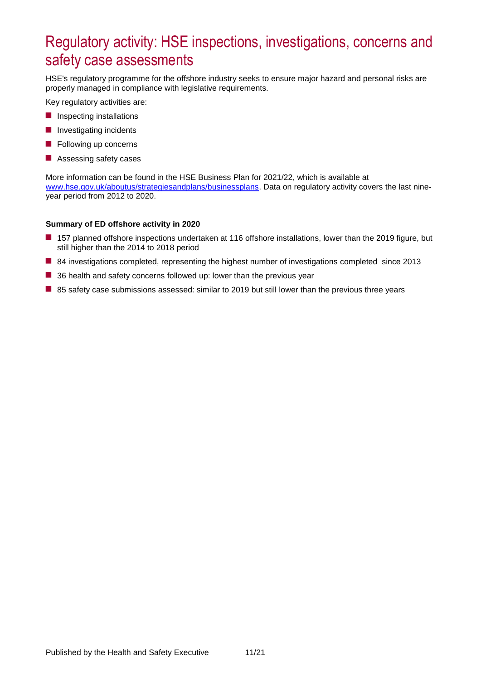# <span id="page-3-0"></span>Regulatory activity: HSE inspections, investigations, concerns and safety case assessments

HSE's regulatory programme for the offshore industry seeks to ensure major hazard and personal risks are properly managed in compliance with legislative requirements.

Key regulatory activities are:

- **Inspecting installations**
- **Investigating incidents**
- **Following up concerns**
- **Assessing safety cases**

More information can be found in the HSE Business Plan for 2021/22, which is available at [www.hse.gov.uk/aboutus/strategiesandplans/businessplans.](http://www.hse.gov.uk/aboutus/strategiesandplans/businessplans/index.htm) Data on regulatory activity covers the last nineyear period from 2012 to 2020.

#### **Summary of ED offshore activity in 2020**

- 157 planned offshore inspections undertaken at 116 offshore installations, lower than the 2019 figure, but still higher than the 2014 to 2018 period
- 84 investigations completed, representing the highest number of investigations completed since 2013
- 36 health and safety concerns followed up: lower than the previous year
- 85 safety case submissions assessed: similar to 2019 but still lower than the previous three years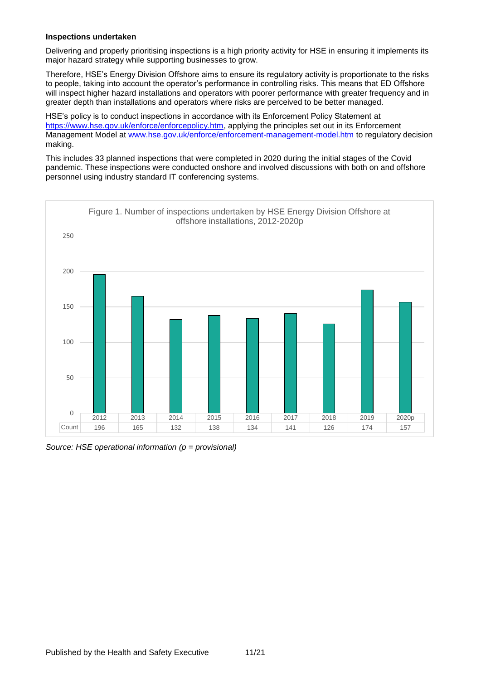### **Inspections undertaken**

Delivering and properly prioritising inspections is a high priority activity for HSE in ensuring it implements its major hazard strategy while supporting businesses to grow.

Therefore, HSE's Energy Division Offshore aims to ensure its regulatory activity is proportionate to the risks to people, taking into account the operator's performance in controlling risks. This means that ED Offshore will inspect higher hazard installations and operators with poorer performance with greater frequency and in greater depth than installations and operators where risks are perceived to be better managed.

HSE's policy is to conduct inspections in accordance with its Enforcement Policy Statement at <https://www.hse.gov.uk/enforce/enforcepolicy.htm>, applying the principles set out in its Enforcement Management Model at [www.hse.gov.uk/enforce/enforcement-management-model.htm](https://www.hse.gov.uk/enforce/enforcement-management-model.htm) to regulatory decision making.

This includes 33 planned inspections that were completed in 2020 during the initial stages of the Covid pandemic. These inspections were conducted onshore and involved discussions with both on and offshore personnel using industry standard IT conferencing systems.



*Source: HSE operational information (p = provisional)*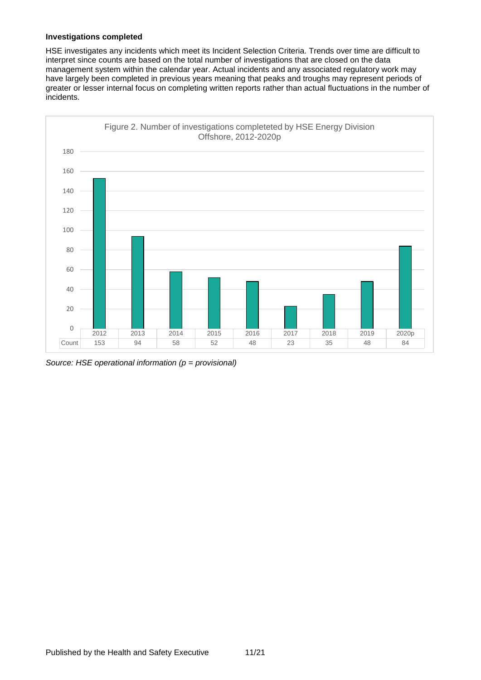### **Investigations completed**

HSE investigates any incidents which meet its Incident Selection Criteria. Trends over time are difficult to interpret since counts are based on the total number of investigations that are closed on the data management system within the calendar year. Actual incidents and any associated regulatory work may have largely been completed in previous years meaning that peaks and troughs may represent periods of greater or lesser internal focus on completing written reports rather than actual fluctuations in the number of incidents.



*Source: HSE operational information (p = provisional)*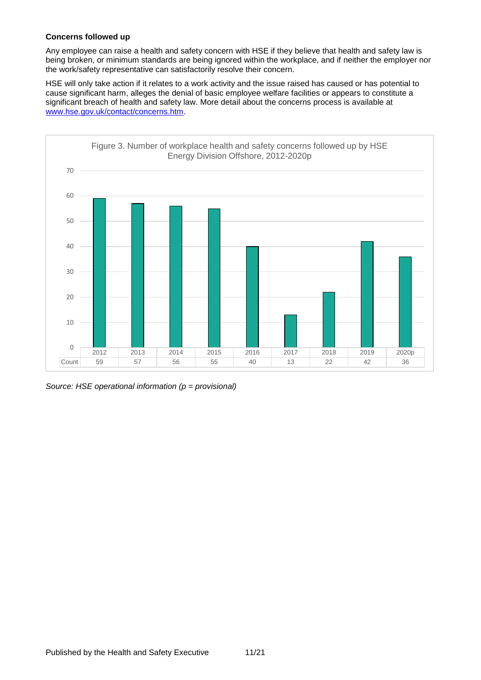### **Concerns followed up**

Any employee can raise a health and safety concern with HSE if they believe that health and safety law is being broken, or minimum standards are being ignored within the workplace, and if neither the employer nor the work/safety representative can satisfactorily resolve their concern.

HSE will only take action if it relates to a work activity and the issue raised has caused or has potential to cause significant harm, alleges the denial of basic employee welfare facilities or appears to constitute a significant breach of health and safety law. More detail about the concerns process is available at [www.hse.gov.uk/contact/concerns.htm.](http://www.hse.gov.uk/contact/concerns.htm)



*Source: HSE operational information (p = provisional)*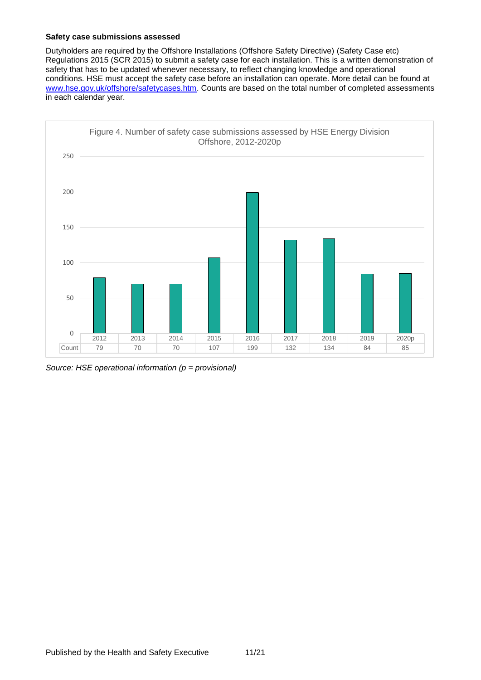### **Safety case submissions assessed**

Dutyholders are required by the Offshore Installations (Offshore Safety Directive) (Safety Case etc) Regulations 2015 (SCR 2015) to submit a safety case for each installation. This is a written demonstration of safety that has to be updated whenever necessary, to reflect changing knowledge and operational conditions. HSE must accept the safety case before an installation can operate. More detail can be found at [www.hse.gov.uk/offshore/safetycases.htm.](https://www.hse.gov.uk/offshore/safetycases.htm) Counts are based on the total number of completed assessments in each calendar year.



*Source: HSE operational information (p = provisional)*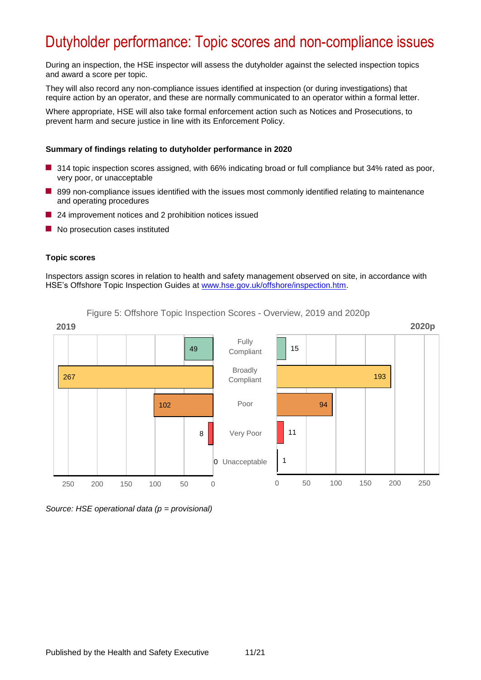# <span id="page-8-0"></span>Dutyholder performance: Topic scores and non-compliance issues

During an inspection, the HSE inspector will assess the dutyholder against the selected inspection topics and award a score per topic.

They will also record any non-compliance issues identified at inspection (or during investigations) that require action by an operator, and these are normally communicated to an operator within a formal letter.

Where appropriate, HSE will also take formal enforcement action such as Notices and Prosecutions, to prevent harm and secure justice in line with its Enforcement Policy.

#### **Summary of findings relating to dutyholder performance in 2020**

- 314 topic inspection scores assigned, with 66% indicating broad or full compliance but 34% rated as poor, very poor, or unacceptable
- 899 non-compliance issues identified with the issues most commonly identified relating to maintenance and operating procedures
- 24 improvement notices and 2 prohibition notices issued
- No prosecution cases instituted

#### **Topic scores**

Inspectors assign scores in relation to health and safety management observed on site, in accordance with HSE's Offshore Topic Inspection Guides at [www.hse.gov.uk/offshore/inspection.htm.](https://www.hse.gov.uk/offshore/inspection.htm)

Figure 5: Offshore Topic Inspection Scores - Overview, 2019 and 2020p



#### *Source: HSE operational data (p = provisional)*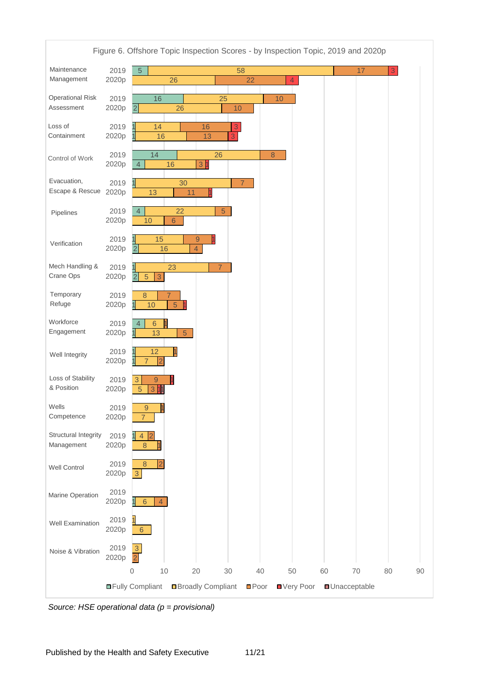

*Source: HSE operational data (p = provisional)*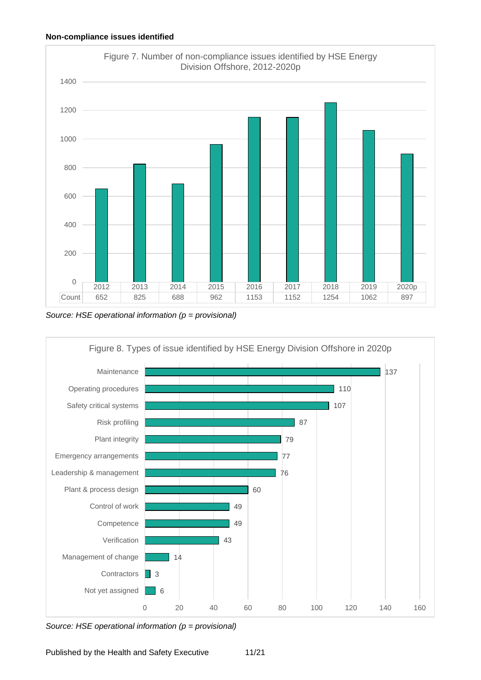

*Source: HSE operational information (p = provisional)*



*Source: HSE operational information (p = provisional)*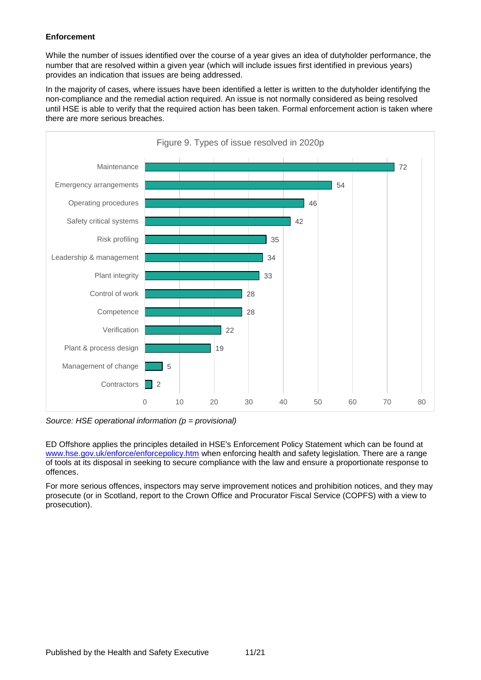### **Enforcement**

While the number of issues identified over the course of a year gives an idea of dutyholder performance, the number that are resolved within a given year (which will include issues first identified in previous years) provides an indication that issues are being addressed.

In the majority of cases, where issues have been identified a letter is written to the dutyholder identifying the non-compliance and the remedial action required. An issue is not normally considered as being resolved until HSE is able to verify that the required action has been taken. Formal enforcement action is taken where there are more serious breaches.



*Source: HSE operational information (p = provisional)*

ED Offshore applies the principles detailed in HSE's Enforcement Policy Statement which can be found at [www.hse.gov.uk/enforce/enforcepolicy.htm](https://www.hse.gov.uk/enforce/enforcepolicy.htm) when enforcing health and safety legislation. There are a range of tools at its disposal in seeking to secure compliance with the law and ensure a proportionate response to offences.

For more serious offences, inspectors may serve improvement notices and prohibition notices, and they may prosecute (or in Scotland, report to the Crown Office and Procurator Fiscal Service (COPFS) with a view to prosecution).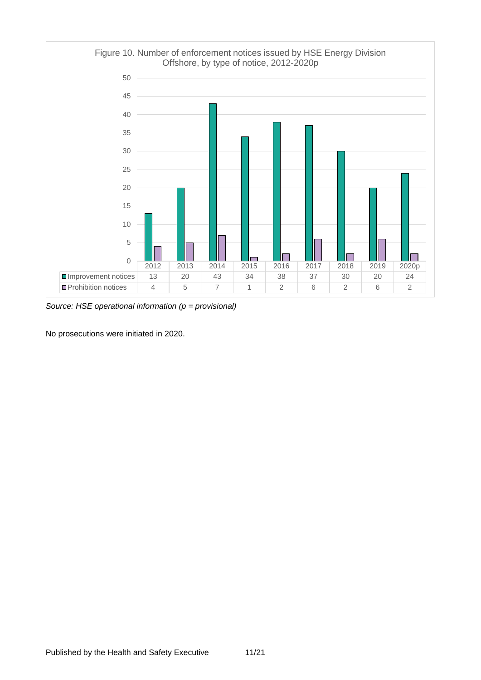

*Source: HSE operational information (p = provisional)*

No prosecutions were initiated in 2020.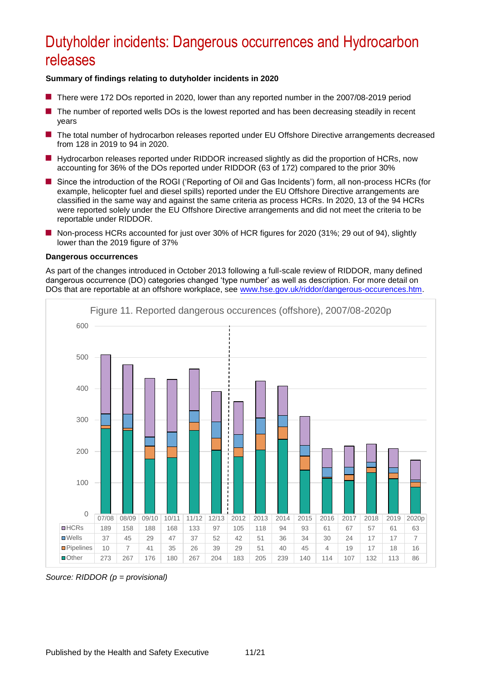# <span id="page-13-0"></span>Dutyholder incidents: Dangerous occurrences and Hydrocarbon releases

### **Summary of findings relating to dutyholder incidents in 2020**

- **There were 172 DOs reported in 2020, lower than any reported number in the 2007/08-2019 period**
- The number of reported wells DOs is the lowest reported and has been decreasing steadily in recent years
- The total number of hydrocarbon releases reported under EU Offshore Directive arrangements decreased from 128 in 2019 to 94 in 2020.
- **H** Hydrocarbon releases reported under RIDDOR increased slightly as did the proportion of HCRs, now accounting for 36% of the DOs reported under RIDDOR (63 of 172) compared to the prior 30%
- Since the introduction of the ROGI ('Reporting of Oil and Gas Incidents') form, all non-process HCRs (for example, helicopter fuel and diesel spills) reported under the EU Offshore Directive arrangements are classified in the same way and against the same criteria as process HCRs. In 2020, 13 of the 94 HCRs were reported solely under the EU Offshore Directive arrangements and did not meet the criteria to be reportable under RIDDOR.
- Non-process HCRs accounted for just over 30% of HCR figures for 2020 (31%; 29 out of 94), slightly lower than the 2019 figure of 37%

### **Dangerous occurrences**

As part of the changes introduced in October 2013 following a full-scale review of RIDDOR, many defined dangerous occurrence (DO) categories changed 'type number' as well as description. For more detail on DOs that are reportable at an offshore workplace, see [www.hse.gov.uk/riddor/dangerous-occurences.htm.](http://www.hse.gov.uk/riddor/dangerous-occurences.htm)



*Source: RIDDOR (p = provisional)*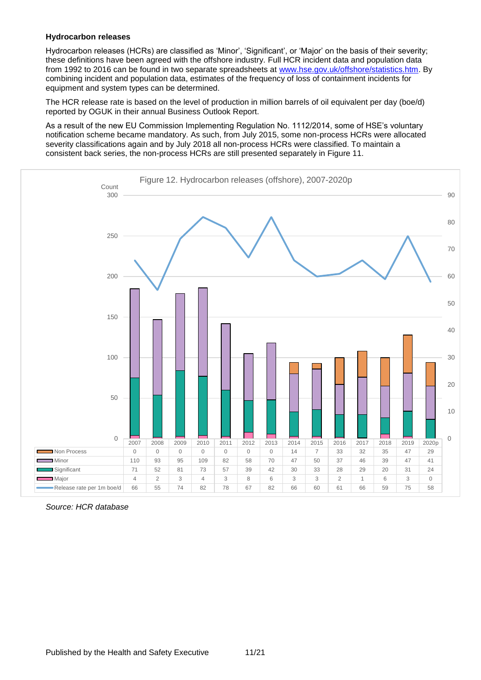### **Hydrocarbon releases**

Hydrocarbon releases (HCRs) are classified as 'Minor', 'Significant', or 'Major' on the basis of their severity; these definitions have been agreed with the offshore industry. Full HCR incident data and population data from 1992 to 2016 can be found in two separate spreadsheets at [www.hse.gov.uk/offshore/statistics.htm.](http://www.hse.gov.uk/offshore/statistics.htm) By combining incident and population data, estimates of the frequency of loss of containment incidents for equipment and system types can be determined.

The HCR release rate is based on the level of production in million barrels of oil equivalent per day (boe/d) reported by OGUK in their annual Business Outlook Report.

As a result of the new EU Commission Implementing Regulation No. 1112/2014, some of HSE's voluntary notification scheme became mandatory. As such, from July 2015, some non-process HCRs were allocated severity classifications again and by July 2018 all non-process HCRs were classified. To maintain a consistent back series, the non-process HCRs are still presented separately in Figure 11.



*Source: HCR database*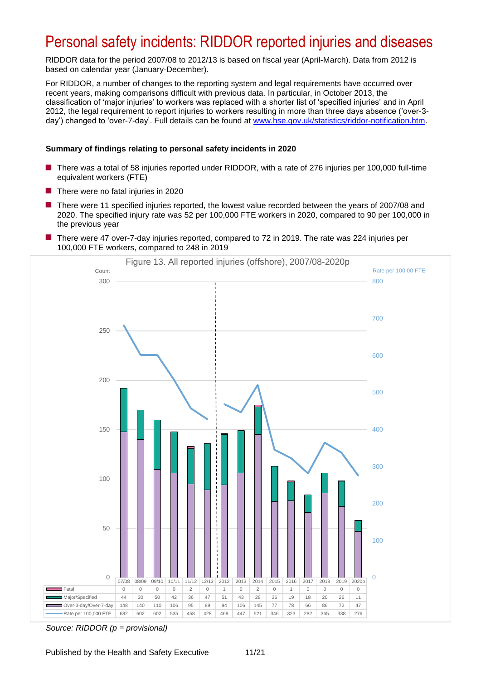### <span id="page-15-0"></span>Personal safety incidents: RIDDOR reported injuries and diseases

RIDDOR data for the period 2007/08 to 2012/13 is based on fiscal year (April-March). Data from 2012 is based on calendar year (January-December).

For RIDDOR, a number of changes to the reporting system and legal requirements have occurred over recent years, making comparisons difficult with previous data. In particular, in October 2013, the classification of 'major injuries' to workers was replaced with a shorter list of 'specified injuries' and in April 2012, the legal requirement to report injuries to workers resulting in more than three days absence ('over-3 day') changed to 'over-7-day'. Full details can be found at [www.hse.gov.uk/statistics/riddor-notification.htm.](https://www.hse.gov.uk/statistics/riddor-notification.htm)

### **Summary of findings relating to personal safety incidents in 2020**

- There was a total of 58 injuries reported under RIDDOR, with a rate of 276 injuries per 100,000 full-time equivalent workers (FTE)
- $\blacksquare$  There were no fatal injuries in 2020
- **There were 11 specified injuries reported, the lowest value recorded between the years of 2007/08 and** 2020. The specified injury rate was 52 per 100,000 FTE workers in 2020, compared to 90 per 100,000 in the previous year
- There were 47 over-7-day injuries reported, compared to 72 in 2019. The rate was 224 injuries per 100,000 FTE workers, compared to 248 in 2019



*Source: RIDDOR (p = provisional)*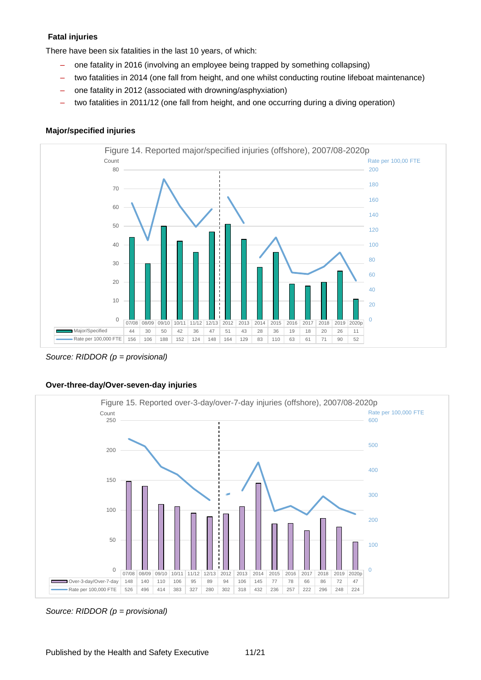### **Fatal injuries**

There have been six fatalities in the last 10 years, of which:

- one fatality in 2016 (involving an employee being trapped by something collapsing)
- two fatalities in 2014 (one fall from height, and one whilst conducting routine lifeboat maintenance)
- one fatality in 2012 (associated with drowning/asphyxiation)
- two fatalities in 2011/12 (one fall from height, and one occurring during a diving operation)

### **Major/specified injuries**



*Source: RIDDOR (p = provisional)*





*Source: RIDDOR (p = provisional)*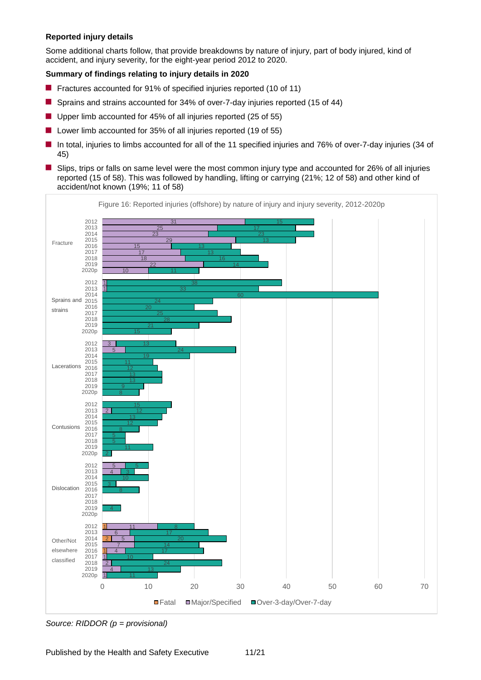### **Reported injury details**

Some additional charts follow, that provide breakdowns by nature of injury, part of body injured, kind of accident, and injury severity, for the eight-year period 2012 to 2020.

### **Summary of findings relating to injury details in 2020**

- **F** Fractures accounted for 91% of specified injuries reported (10 of 11)
- Sprains and strains accounted for 34% of over-7-day injuries reported (15 of 44)
- Upper limb accounted for 45% of all injuries reported (25 of 55)
- Lower limb accounted for 35% of all injuries reported (19 of 55)
- In total, injuries to limbs accounted for all of the 11 specified injuries and 76% of over-7-day injuries (34 of 45)
- **S** Slips, trips or falls on same level were the most common injury type and accounted for 26% of all injuries reported (15 of 58). This was followed by handling, lifting or carrying (21%; 12 of 58) and other kind of accident/not known (19%; 11 of 58)



*Source: RIDDOR (p = provisional)*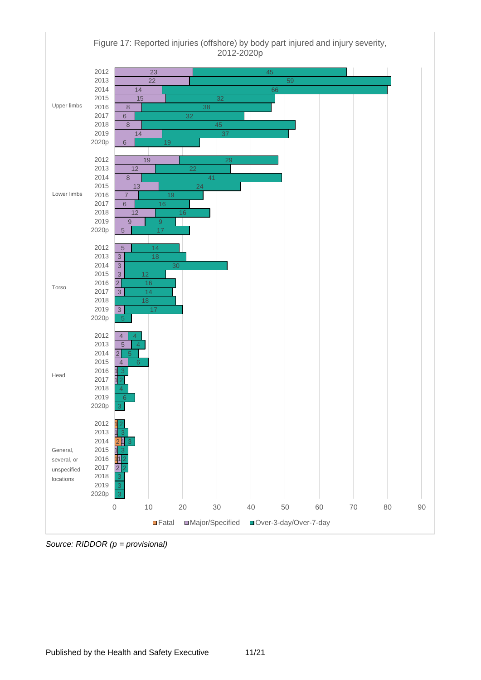

*Source: RIDDOR (p = provisional)*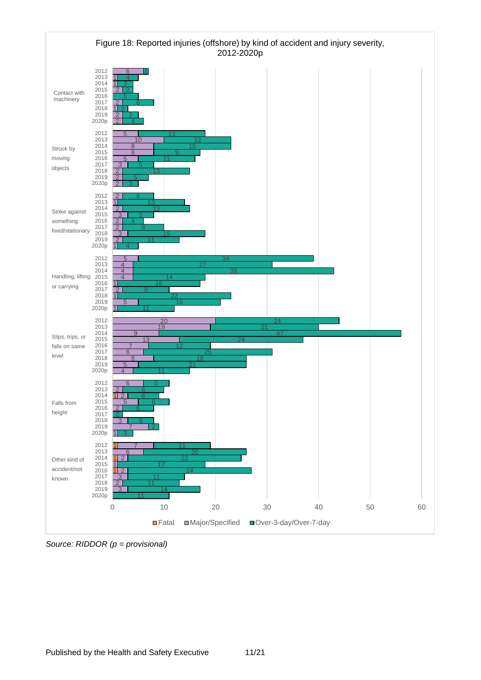

*Source: RIDDOR (p = provisional)*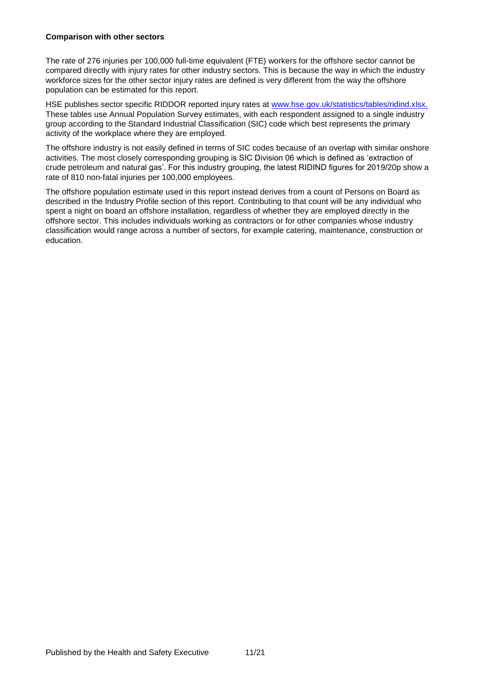### **Comparison with other sectors**

The rate of 276 injuries per 100,000 full-time equivalent (FTE) workers for the offshore sector cannot be compared directly with injury rates for other industry sectors. This is because the way in which the industry workforce sizes for the other sector injury rates are defined is very different from the way the offshore population can be estimated for this report.

HSE publishes sector specific RIDDOR reported injury rates at [www.hse.gov.uk/statistics/tables/ridind.xlsx.](https://www.hse.gov.uk/statistics/tables/ridind.xlsx) These tables use Annual Population Survey estimates, with each respondent assigned to a single industry group according to the Standard Industrial Classification (SIC) code which best represents the primary activity of the workplace where they are employed.

The offshore industry is not easily defined in terms of SIC codes because of an overlap with similar onshore activities. The most closely corresponding grouping is SIC Division 06 which is defined as 'extraction of crude petroleum and natural gas'. For this industry grouping, the latest RIDIND figures for 2019/20p show a rate of 810 non-fatal injuries per 100,000 employees.

The offshore population estimate used in this report instead derives from a count of Persons on Board as described in the Industry Profile section of this report. Contributing to that count will be any individual who spent a night on board an offshore installation, regardless of whether they are employed directly in the offshore sector. This includes individuals working as contractors or for other companies whose industry classification would range across a number of sectors, for example catering, maintenance, construction or education.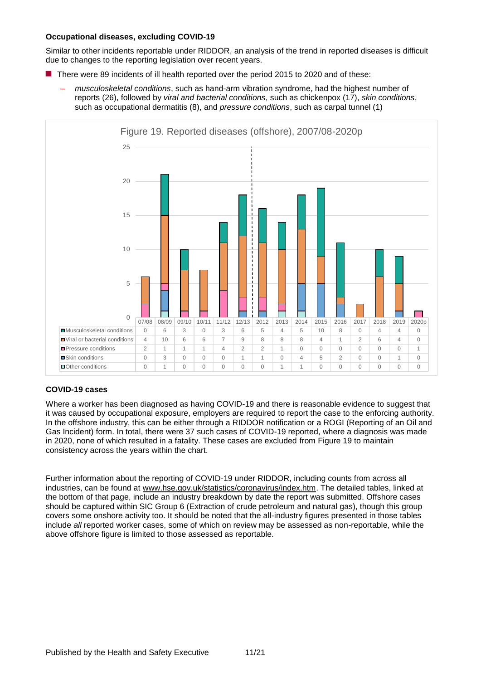### **Occupational diseases, excluding COVID-19**

Similar to other incidents reportable under RIDDOR, an analysis of the trend in reported diseases is difficult due to changes to the reporting legislation over recent years.

- There were 89 incidents of ill health reported over the period 2015 to 2020 and of these:
	- *musculoskeletal conditions*, such as hand-arm vibration syndrome, had the highest number of reports (26), followed by *viral and bacterial conditions*, such as chickenpox (17), *skin conditions*, such as occupational dermatitis (8), and *pressure conditions*, such as carpal tunnel (1)



### <span id="page-21-0"></span>**COVID-19 cases**

Where a worker has been diagnosed as having COVID-19 and there is reasonable evidence to suggest that it was caused by occupational exposure, employers are required to report the case to the enforcing authority. In the offshore industry, this can be either through a RIDDOR notification or a ROGI (Reporting of an Oil and Gas Incident) form. In total, there were 37 such cases of COVID-19 reported, where a diagnosis was made in 2020, none of which resulted in a fatality. These cases are excluded from Figure 19 to maintain consistency across the years within the chart.

Further information about the reporting of COVID-19 under RIDDOR, including counts from across all industries, can be found at [www.hse.gov.uk/statistics/coronavirus/index.htm.](https://www.hse.gov.uk/statistics/coronavirus/index.htm) The detailed tables, linked at the bottom of that page, include an industry breakdown by date the report was submitted. Offshore cases should be captured within SIC Group 6 (Extraction of crude petroleum and natural gas), though this group covers some onshore activity too. It should be noted that the all-industry figures presented in those tables include *all* reported worker cases, some of which on review may be assessed as non-reportable, while the above offshore figure is limited to those assessed as reportable.